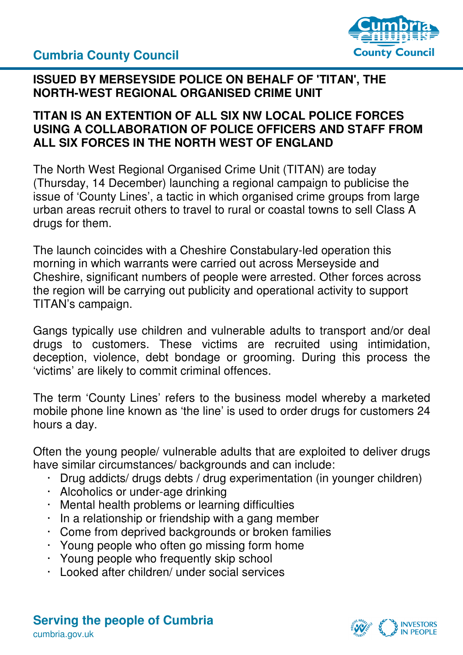**Cumbria County Council** 



#### **ISSUED BY MERSEYSIDE POLICE ON BEHALF OF 'TITAN', THE NORTH-WEST REGIONAL ORGANISED CRIME UNIT**

#### **TITAN IS AN EXTENTION OF ALL SIX NW LOCAL POLICE FORCES USING A COLLABORATION OF POLICE OFFICERS AND STAFF FROM ALL SIX FORCES IN THE NORTH WEST OF ENGLAND**

The North West Regional Organised Crime Unit (TITAN) are today (Thursday, 14 December) launching a regional campaign to publicise the issue of 'County Lines', a tactic in which organised crime groups from large urban areas recruit others to travel to rural or coastal towns to sell Class A drugs for them.

The launch coincides with a Cheshire Constabulary-led operation this morning in which warrants were carried out across Merseyside and Cheshire, significant numbers of people were arrested. Other forces across the region will be carrying out publicity and operational activity to support TITAN's campaign.

Gangs typically use children and vulnerable adults to transport and/or deal drugs to customers. These victims are recruited using intimidation, deception, violence, debt bondage or grooming. During this process the 'victims' are likely to commit criminal offences.

The term 'County Lines' refers to the business model whereby a marketed mobile phone line known as 'the line' is used to order drugs for customers 24 hours a day.

Often the young people/ vulnerable adults that are exploited to deliver drugs have similar circumstances/ backgrounds and can include:

- · Drug addicts/ drugs debts / drug experimentation (in younger children)
- · Alcoholics or under-age drinking
- · Mental health problems or learning difficulties
- · In a relationship or friendship with a gang member
- · Come from deprived backgrounds or broken families
- · Young people who often go missing form home
- · Young people who frequently skip school
- · Looked after children/ under social services

**Serving the people of Cumbria**  cumbria.gov.uk

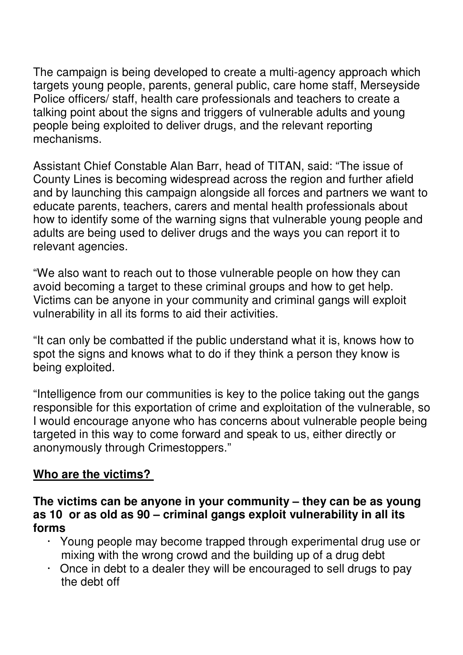The campaign is being developed to create a multi-agency approach which targets young people, parents, general public, care home staff, Merseyside Police officers/ staff, health care professionals and teachers to create a talking point about the signs and triggers of vulnerable adults and young people being exploited to deliver drugs, and the relevant reporting mechanisms.

Assistant Chief Constable Alan Barr, head of TITAN, said: "The issue of County Lines is becoming widespread across the region and further afield and by launching this campaign alongside all forces and partners we want to educate parents, teachers, carers and mental health professionals about how to identify some of the warning signs that vulnerable young people and adults are being used to deliver drugs and the ways you can report it to relevant agencies.

"We also want to reach out to those vulnerable people on how they can avoid becoming a target to these criminal groups and how to get help. Victims can be anyone in your community and criminal gangs will exploit vulnerability in all its forms to aid their activities.

"It can only be combatted if the public understand what it is, knows how to spot the signs and knows what to do if they think a person they know is being exploited.

"Intelligence from our communities is key to the police taking out the gangs responsible for this exportation of crime and exploitation of the vulnerable, so I would encourage anyone who has concerns about vulnerable people being targeted in this way to come forward and speak to us, either directly or anonymously through Crimestoppers."

## **Who are the victims?**

#### **The victims can be anyone in your community – they can be as young as 10 or as old as 90 – criminal gangs exploit vulnerability in all its forms**

- · Young people may become trapped through experimental drug use or mixing with the wrong crowd and the building up of a drug debt
- · Once in debt to a dealer they will be encouraged to sell drugs to pay the debt off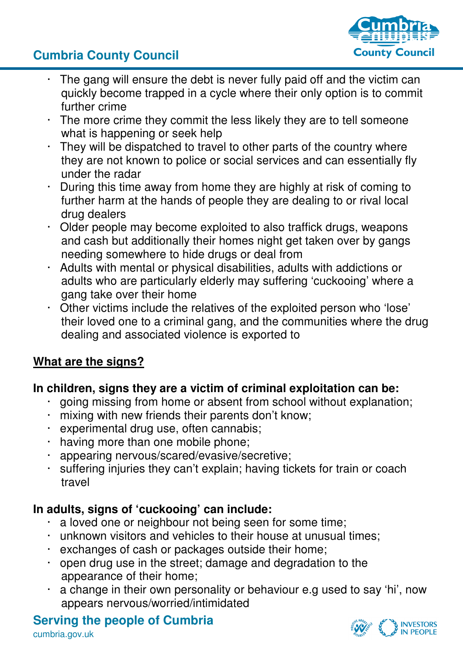# **Cumbria County Council**



- The gang will ensure the debt is never fully paid off and the victim can quickly become trapped in a cycle where their only option is to commit further crime
- · The more crime they commit the less likely they are to tell someone what is happening or seek help
- · They will be dispatched to travel to other parts of the country where they are not known to police or social services and can essentially fly under the radar
- During this time away from home they are highly at risk of coming to further harm at the hands of people they are dealing to or rival local drug dealers
- Older people may become exploited to also traffick drugs, weapons and cash but additionally their homes night get taken over by gangs needing somewhere to hide drugs or deal from
- · Adults with mental or physical disabilities, adults with addictions or adults who are particularly elderly may suffering 'cuckooing' where a gang take over their home
- · Other victims include the relatives of the exploited person who 'lose' their loved one to a criminal gang, and the communities where the drug dealing and associated violence is exported to

## **What are the signs?**

## **In children, signs they are a victim of criminal exploitation can be:**

- going missing from home or absent from school without explanation;
- · mixing with new friends their parents don't know;
- experimental drug use, often cannabis;
- · having more than one mobile phone;
- · appearing nervous/scared/evasive/secretive;
- · suffering injuries they can't explain; having tickets for train or coach travel

## **In adults, signs of 'cuckooing' can include:**

- a loved one or neighbour not being seen for some time;
- · unknown visitors and vehicles to their house at unusual times;
- · exchanges of cash or packages outside their home;
- · open drug use in the street; damage and degradation to the appearance of their home;
- a change in their own personality or behaviour e.g used to say 'hi', now appears nervous/worried/intimidated

#### **Serving the people of Cumbria**  cumbria.gov.uk